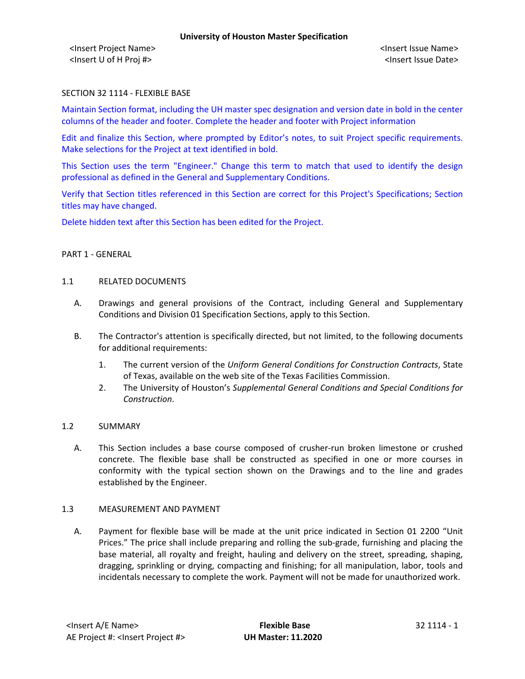<Insert Project Name> <Insert Issue Name> <Insert U of H Proj #> <Insert Issue Date>

### SECTION 32 1114 - FLEXIBLE BASE

Maintain Section format, including the UH master spec designation and version date in bold in the center columns of the header and footer. Complete the header and footer with Project information

Edit and finalize this Section, where prompted by Editor's notes, to suit Project specific requirements. Make selections for the Project at text identified in bold.

This Section uses the term "Engineer." Change this term to match that used to identify the design professional as defined in the General and Supplementary Conditions.

Verify that Section titles referenced in this Section are correct for this Project's Specifications; Section titles may have changed.

Delete hidden text after this Section has been edited for the Project.

### PART 1 - GENERAL

#### 1.1 RELATED DOCUMENTS

- A. Drawings and general provisions of the Contract, including General and Supplementary Conditions and Division 01 Specification Sections, apply to this Section.
- B. The Contractor's attention is specifically directed, but not limited, to the following documents for additional requirements:
	- 1. The current version of the *Uniform General Conditions for Construction Contracts*, State of Texas, available on the web site of the Texas Facilities Commission.
	- 2. The University of Houston's *Supplemental General Conditions and Special Conditions for Construction*.

### 1.2 SUMMARY

A. This Section includes a base course composed of crusher-run broken limestone or crushed concrete. The flexible base shall be constructed as specified in one or more courses in conformity with the typical section shown on the Drawings and to the line and grades established by the Engineer.

#### 1.3 MEASUREMENT AND PAYMENT

A. Payment for flexible base will be made at the unit price indicated in Section 01 2200 "Unit Prices." The price shall include preparing and rolling the sub-grade, furnishing and placing the base material, all royalty and freight, hauling and delivery on the street, spreading, shaping, dragging, sprinkling or drying, compacting and finishing; for all manipulation, labor, tools and incidentals necessary to complete the work. Payment will not be made for unauthorized work.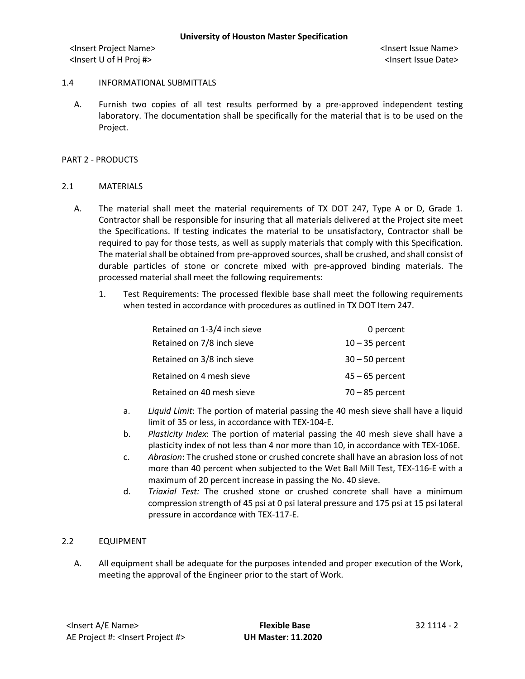<Insert Project Name> <Insert Issue Name> <Insert U of H Proj #> <Insert Issue Date>

## 1.4 INFORMATIONAL SUBMITTALS

A. Furnish two copies of all test results performed by a pre-approved independent testing laboratory. The documentation shall be specifically for the material that is to be used on the Project.

### PART 2 - PRODUCTS

## 2.1 MATERIALS

- A. The material shall meet the material requirements of TX DOT 247, Type A or D, Grade 1. Contractor shall be responsible for insuring that all materials delivered at the Project site meet the Specifications. If testing indicates the material to be unsatisfactory, Contractor shall be required to pay for those tests, as well as supply materials that comply with this Specification. The material shall be obtained from pre-approved sources, shall be crushed, and shall consist of durable particles of stone or concrete mixed with pre-approved binding materials. The processed material shall meet the following requirements:
	- 1. Test Requirements: The processed flexible base shall meet the following requirements when tested in accordance with procedures as outlined in TX DOT Item 247.

| Retained on 1-3/4 inch sieve | 0 percent         |
|------------------------------|-------------------|
| Retained on 7/8 inch sieve   | $10 - 35$ percent |
| Retained on 3/8 inch sieve   | $30 - 50$ percent |
| Retained on 4 mesh sieve     | $45 - 65$ percent |
| Retained on 40 mesh sieve    | $70 - 85$ percent |

- a. *Liquid Limit*: The portion of material passing the 40 mesh sieve shall have a liquid limit of 35 or less, in accordance with TEX-104-E.
- b. *Plasticity Index*: The portion of material passing the 40 mesh sieve shall have a plasticity index of not less than 4 nor more than 10, in accordance with TEX-106E.
- c. *Abrasion*: The crushed stone or crushed concrete shall have an abrasion loss of not more than 40 percent when subjected to the Wet Ball Mill Test, TEX-116-E with a maximum of 20 percent increase in passing the No. 40 sieve.
- d. *Triaxial Test:* The crushed stone or crushed concrete shall have a minimum compression strength of 45 psi at 0 psi lateral pressure and 175 psi at 15 psi lateral pressure in accordance with TEX-117-E.

# 2.2 EQUIPMENT

A. All equipment shall be adequate for the purposes intended and proper execution of the Work, meeting the approval of the Engineer prior to the start of Work.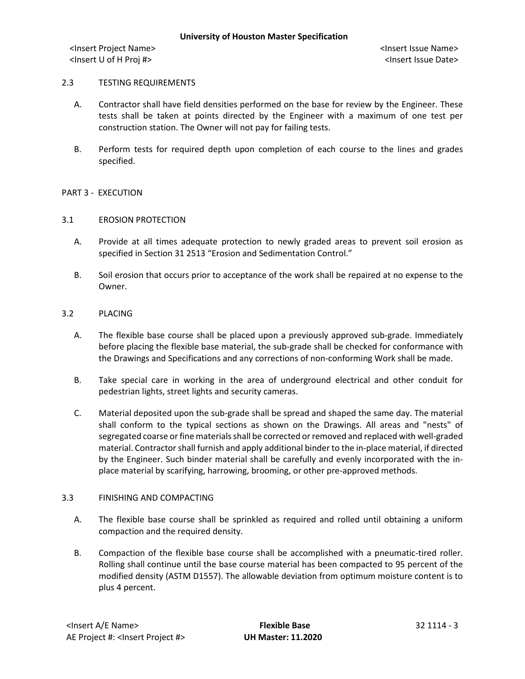<Insert Project Name> <Insert Issue Name> <Insert U of H Proj #> <Insert Issue Date>

### 2.3 TESTING REQUIREMENTS

- A. Contractor shall have field densities performed on the base for review by the Engineer. These tests shall be taken at points directed by the Engineer with a maximum of one test per construction station. The Owner will not pay for failing tests.
- B. Perform tests for required depth upon completion of each course to the lines and grades specified.

## PART 3 - EXECUTION

### 3.1 EROSION PROTECTION

- A. Provide at all times adequate protection to newly graded areas to prevent soil erosion as specified in Section 31 2513 "Erosion and Sedimentation Control."
- B. Soil erosion that occurs prior to acceptance of the work shall be repaired at no expense to the Owner.

### 3.2 PLACING

- A. The flexible base course shall be placed upon a previously approved sub-grade. Immediately before placing the flexible base material, the sub-grade shall be checked for conformance with the Drawings and Specifications and any corrections of non-conforming Work shall be made.
- B. Take special care in working in the area of underground electrical and other conduit for pedestrian lights, street lights and security cameras.
- C. Material deposited upon the sub-grade shall be spread and shaped the same day. The material shall conform to the typical sections as shown on the Drawings. All areas and "nests" of segregated coarse or fine materials shall be corrected or removed and replaced with well-graded material. Contractor shall furnish and apply additional binder to the in-place material, if directed by the Engineer. Such binder material shall be carefully and evenly incorporated with the inplace material by scarifying, harrowing, brooming, or other pre-approved methods.

### 3.3 FINISHING AND COMPACTING

- A. The flexible base course shall be sprinkled as required and rolled until obtaining a uniform compaction and the required density.
- B. Compaction of the flexible base course shall be accomplished with a pneumatic-tired roller. Rolling shall continue until the base course material has been compacted to 95 percent of the modified density (ASTM D1557). The allowable deviation from optimum moisture content is to plus 4 percent.